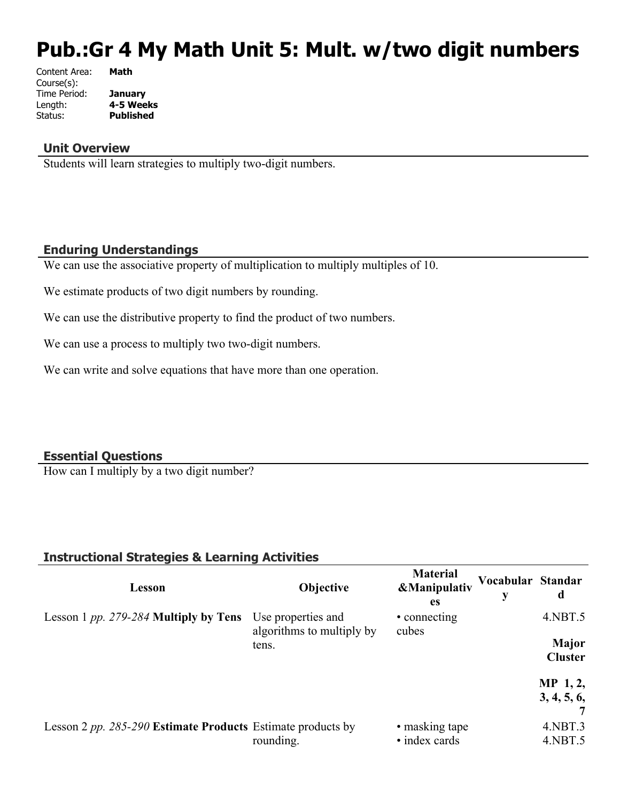# **Pub.:Gr 4 My Math Unit 5: Mult. w/two digit numbers**

| Content Area: | Math             |
|---------------|------------------|
| Course(s):    |                  |
| Time Period:  | January          |
| Length:       | 4-5 Weeks        |
| Status:       | <b>Published</b> |
|               |                  |

#### **Unit Overview**

Students will learn strategies to multiply two-digit numbers.

### **Enduring Understandings**

We can use the associative property of multiplication to multiply multiples of 10.

We estimate products of two digit numbers by rounding.

We can use the distributive property to find the product of two numbers.

We can use a process to multiply two two-digit numbers.

We can write and solve equations that have more than one operation.

#### **Essential Questions**

How can I multiply by a two digit number?

### **Instructional Strategies & Learning Activities**

| Lesson                                                      | <b>Objective</b>                                | <b>Material</b><br><b>&amp;Manipulativ</b><br>es | Vocabular Standar<br>y | d                              |
|-------------------------------------------------------------|-------------------------------------------------|--------------------------------------------------|------------------------|--------------------------------|
| Lesson 1 pp. 279-284 Multiply by Tens                       | Use properties and<br>algorithms to multiply by | • connecting<br>cubes                            |                        | $4.$ NBT $.5$                  |
|                                                             | tens.                                           |                                                  |                        | <b>Major</b><br><b>Cluster</b> |
|                                                             |                                                 |                                                  |                        | $MP_1, 2,$<br>3, 4, 5, 6,      |
| Lesson 2 pp. 285-290 Estimate Products Estimate products by | rounding.                                       | • masking tape<br>• index cards                  |                        | $4.$ NBT $.3$<br>$4.$ NBT $.5$ |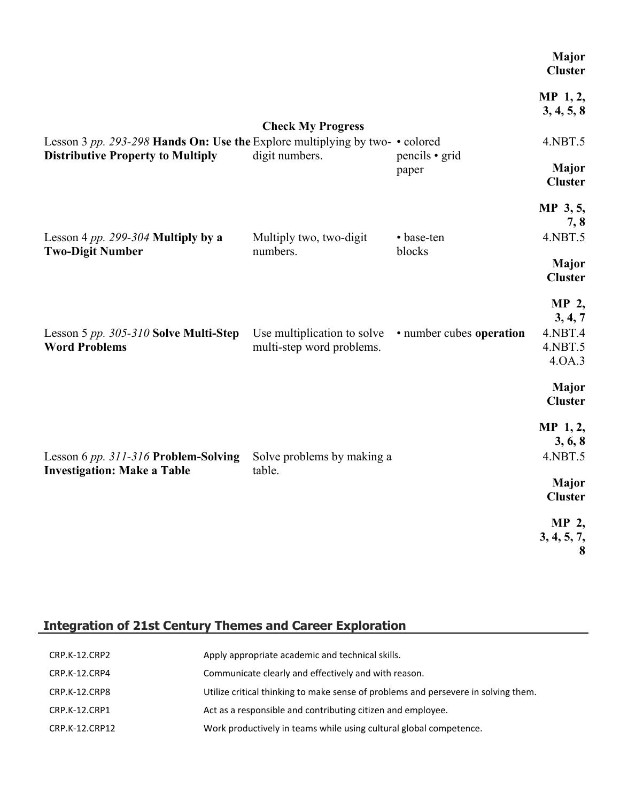|                                                                                                                                |                                                          |                          | Major<br><b>Cluster</b>                          |
|--------------------------------------------------------------------------------------------------------------------------------|----------------------------------------------------------|--------------------------|--------------------------------------------------|
|                                                                                                                                | <b>Check My Progress</b>                                 |                          | $MP_1, 2,$<br>3, 4, 5, 8                         |
| Lesson 3 pp. 293-298 Hands On: Use the Explore multiplying by two- $\cdot$ colored<br><b>Distributive Property to Multiply</b> | digit numbers.                                           | pencils • grid           | 4.NBT.5                                          |
|                                                                                                                                |                                                          | paper                    | Major<br><b>Cluster</b>                          |
|                                                                                                                                |                                                          |                          | MP 3, 5,<br>7, 8                                 |
| Lesson 4 pp. 299-304 Multiply by a<br><b>Two-Digit Number</b>                                                                  | Multiply two, two-digit<br>numbers.                      | • base-ten<br>blocks     | 4.NBT.5                                          |
|                                                                                                                                |                                                          |                          | <b>Major</b><br><b>Cluster</b>                   |
| Lesson 5 pp. 305-310 Solve Multi-Step<br><b>Word Problems</b>                                                                  | Use multiplication to solve<br>multi-step word problems. | • number cubes operation | MP 2,<br>3, 4, 7<br>4.NBT.4<br>4.NBT.5<br>4.0A.3 |
|                                                                                                                                |                                                          |                          | <b>Major</b><br><b>Cluster</b>                   |
| Lesson 6 pp. 311-316 Problem-Solving<br><b>Investigation: Make a Table</b>                                                     | Solve problems by making a                               |                          | MP 1, 2,<br>3, 6, 8<br>4.NBT.5                   |
|                                                                                                                                | table.                                                   |                          | Major<br><b>Cluster</b>                          |
|                                                                                                                                |                                                          |                          | MP 2,<br>3, 4, 5, 7,<br>8                        |

# **Integration of 21st Century Themes and Career Exploration**

| CRP.K-12.CRP2  | Apply appropriate academic and technical skills.                                   |
|----------------|------------------------------------------------------------------------------------|
| CRP.K-12.CRP4  | Communicate clearly and effectively and with reason.                               |
| CRP.K-12.CRP8  | Utilize critical thinking to make sense of problems and persevere in solving them. |
| CRP.K-12.CRP1  | Act as a responsible and contributing citizen and employee.                        |
| CRP.K-12.CRP12 | Work productively in teams while using cultural global competence.                 |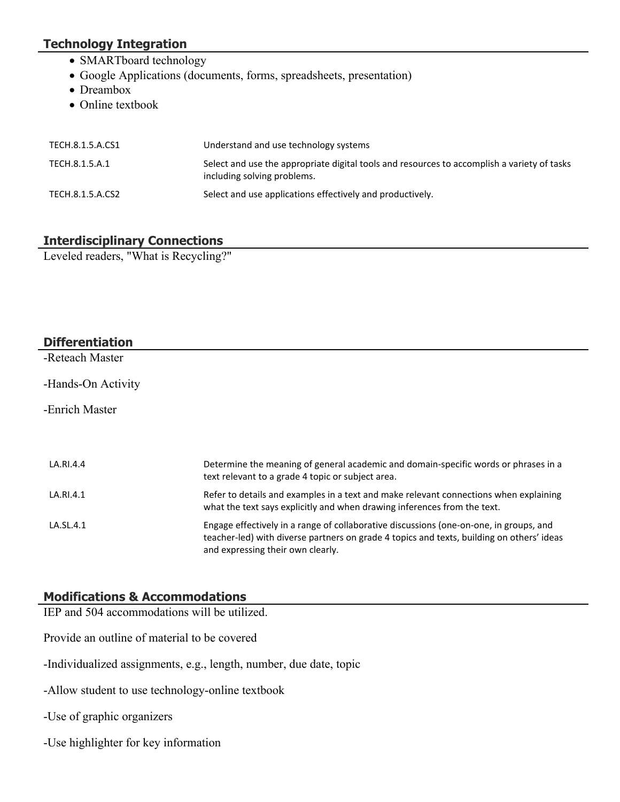# **Technology Integration**

- SMARTboard technology
- Google Applications (documents, forms, spreadsheets, presentation)
- Dreambox
- Online textbook

| TECH.8.1.5.A.CS1 | Understand and use technology systems                                                                                      |
|------------------|----------------------------------------------------------------------------------------------------------------------------|
| TECH.8.1.5.A.1   | Select and use the appropriate digital tools and resources to accomplish a variety of tasks<br>including solving problems. |
| TECH.8.1.5.A.CS2 | Select and use applications effectively and productively.                                                                  |

### **Interdisciplinary Connections**

Leveled readers, "What is Recycling?"

# **Differentiation** -Reteach Master -Hands-On Activity -Enrich Master LA.RI.4.4 Determine the meaning of general academic and domain-specific words or phrases in a text relevant to a grade 4 topic or subject area. LA.RI.4.1 Refer to details and examples in a text and make relevant connections when explaining what the text says explicitly and when drawing inferences from the text. LA.SL.4.1 Engage effectively in a range of collaborative discussions (one-on-one, in groups, and teacher-led) with diverse partners on grade 4 topics and texts, building on others' ideas

and expressing their own clearly.

### **Modifications & Accommodations**

IEP and 504 accommodations will be utilized.

Provide an outline of material to be covered

-Individualized assignments, e.g., length, number, due date, topic

-Allow student to use technology-online textbook

-Use of graphic organizers

-Use highlighter for key information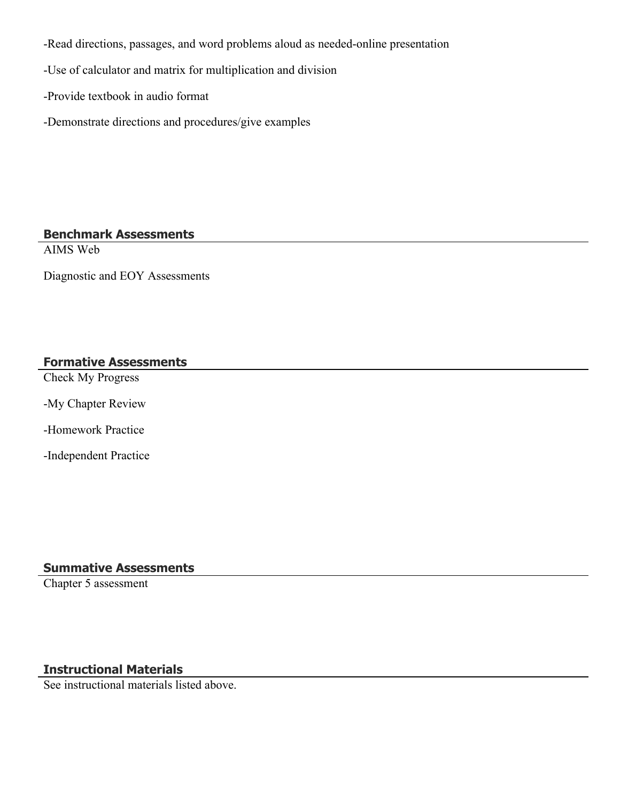-Read directions, passages, and word problems aloud as needed-online presentation

-Use of calculator and matrix for multiplication and division

-Provide textbook in audio format

-Demonstrate directions and procedures/give examples

### **Benchmark Assessments**

AIMS Web

Diagnostic and EOY Assessments

### **Formative Assessments**

Check My Progress

-My Chapter Review

-Homework Practice

-Independent Practice

# **Summative Assessments**

Chapter 5 assessment

# **Instructional Materials**

See instructional materials listed above.